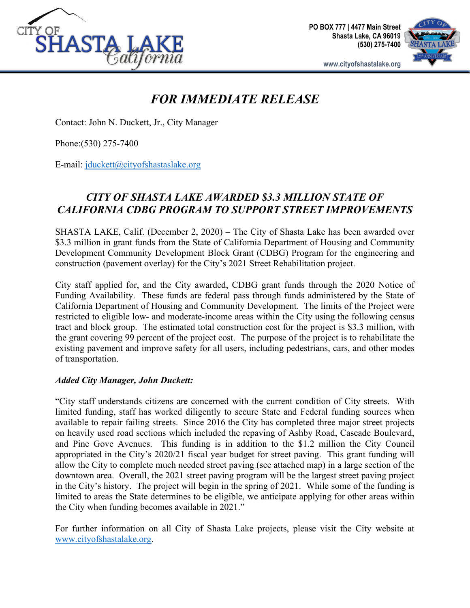

**PO BOX 777 | 4477 Main Street Shasta Lake, CA 96019 (530) 275-7400**



**www.cityofshastalake.org**

## *FOR IMMEDIATE RELEASE*

Contact: John N. Duckett, Jr., City Manager

Phone:(530) 275-7400

E-mail: [jduckett@cityofshastaslake.org](mailto:jduckett@cityofshastaslake.org)

## *CITY OF SHASTA LAKE AWARDED \$3.3 MILLION STATE OF CALIFORNIA CDBG PROGRAM TO SUPPORT STREET IMPROVEMENTS*

SHASTA LAKE, Calif. (December 2, 2020) – The City of Shasta Lake has been awarded over \$3.3 million in grant funds from the State of California Department of Housing and Community Development Community Development Block Grant (CDBG) Program for the engineering and construction (pavement overlay) for the City's 2021 Street Rehabilitation project.

City staff applied for, and the City awarded, CDBG grant funds through the 2020 Notice of Funding Availability. These funds are federal pass through funds administered by the State of California Department of Housing and Community Development. The limits of the Project were restricted to eligible low- and moderate-income areas within the City using the following census tract and block group. The estimated total construction cost for the project is \$3.3 million, with the grant covering 99 percent of the project cost. The purpose of the project is to rehabilitate the existing pavement and improve safety for all users, including pedestrians, cars, and other modes of transportation.

## *Added City Manager, John Duckett:*

"City staff understands citizens are concerned with the current condition of City streets. With limited funding, staff has worked diligently to secure State and Federal funding sources when available to repair failing streets. Since 2016 the City has completed three major street projects on heavily used road sections which included the repaving of Ashby Road, Cascade Boulevard, and Pine Gove Avenues. This funding is in addition to the \$1.2 million the City Council appropriated in the City's 2020/21 fiscal year budget for street paving. This grant funding will allow the City to complete much needed street paving (see attached map) in a large section of the downtown area. Overall, the 2021 street paving program will be the largest street paving project in the City's history. The project will begin in the spring of 2021. While some of the funding is limited to areas the State determines to be eligible, we anticipate applying for other areas within the City when funding becomes available in 2021."

For further information on all City of Shasta Lake projects, please visit the City website at [www.cityofshastalake.org.](http://www.cityofshastalake.org/)